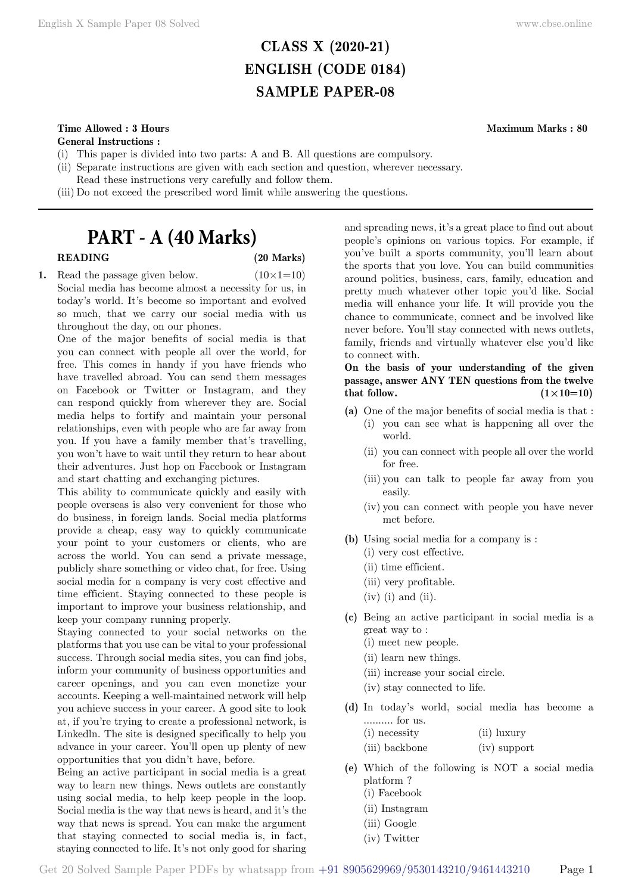# **CLASS X (2020-21) ENGLISH (CODE 0184) SAMPLE PAPER-08**

# **Time Allowed : 3 Hours Maximum Marks : 80**

**General Instructions :**

- (i) This paper is divided into two parts: A and B. All questions are compulsory.
- (ii) Separate instructions are given with each section and question, wherever necessary.
- Read these instructions very carefully and follow them.
- (iii) Do not exceed the prescribed word limit while answering the questions.

# **PART - A (40 Marks)**

# **READING (20 Marks)**

**1.** Read the passage given below.  $(10 \times 1=10)$ Social media has become almost a necessity for us, in today's world. It's become so important and evolved so much, that we carry our social media with us throughout the day, on our phones.

One of the major benefits of social media is that you can connect with people all over the world, for free. This comes in handy if you have friends who have travelled abroad. You can send them messages on Facebook or Twitter or Instagram, and they can respond quickly from wherever they are. Social media helps to fortify and maintain your personal relationships, even with people who are far away from you. If you have a family member that's travelling, you won't have to wait until they return to hear about their adventures. Just hop on Facebook or Instagram and start chatting and exchanging pictures.

This ability to communicate quickly and easily with people overseas is also very convenient for those who do business, in foreign lands. Social media platforms provide a cheap, easy way to quickly communicate your point to your customers or clients, who are across the world. You can send a private message, publicly share something or video chat, for free. Using social media for a company is very cost effective and time efficient. Staying connected to these people is important to improve your business relationship, and keep your company running properly.

Staying connected to your social networks on the platforms that you use can be vital to your professional success. Through social media sites, you can find jobs, inform your community of business opportunities and career openings, and you can even monetize your accounts. Keeping a well-maintained network will help you achieve success in your career. A good site to look at, if you're trying to create a professional network, is Linkedln. The site is designed specifically to help you advance in your career. You'll open up plenty of new opportunities that you didn't have, before.

Being an active participant in social media is a great way to learn new things. News outlets are constantly using social media, to help keep people in the loop. Social media is the way that news is heard, and it's the way that news is spread. You can make the argument that staying connected to social media is, in fact, staying connected to life. It's not only good for sharing and spreading news, it's a great place to find out about people's opinions on various topics. For example, if you've built a sports community, you'll learn about the sports that you love. You can build communities around politics, business, cars, family, education and pretty much whatever other topic you'd like. Social media will enhance your life. It will provide you the chance to communicate, connect and be involved like never before. You'll stay connected with news outlets, family, friends and virtually whatever else you'd like to connect with.

# **On the basis of your understanding of the given passage, answer ANY TEN questions from the twelve**  that follow.  $(1 \times 10=10)$

- **(a)** One of the major benefits of social media is that : (i) you can see what is happening all over the world.
	- (ii) you can connect with people all over the world for free.
	- (iii) you can talk to people far away from you easily.
	- (iv) you can connect with people you have never met before.
- **(b)** Using social media for a company is : (i) very cost effective.
	- (ii) time efficient.
	- (iii) very profitable.
	- $(iv)$  (i) and (ii).
- **(c)** Being an active participant in social media is a great way to :
	- (i) meet new people.
	- (ii) learn new things.
	- (iii) increase your social circle.
	- (iv) stay connected to life.
- **(d)** In today's world, social media has become a .......... for us.
	- (i) necessity (ii) luxury (iii) backbone (iv) support
- **(e)** Which of the following is NOT a social media platform ?
	- (i) Facebook
	- (ii) Instagram
	- (iii) Google
	- (iv) Twitter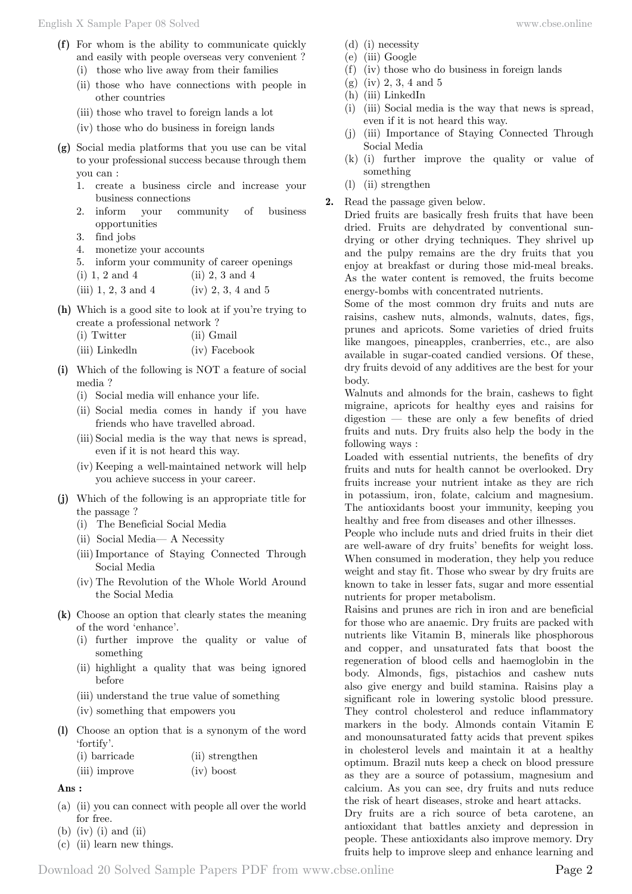- **(f)** For whom is the ability to communicate quickly and easily with people overseas very convenient ?
	- (i) those who live away from their families
	- (ii) those who have connections with people in other countries
	- (iii) those who travel to foreign lands a lot
	- (iv) those who do business in foreign lands
- **(g)** Social media platforms that you use can be vital to your professional success because through them you can :
	- 1. create a business circle and increase your business connections
	- 2. inform your community of business opportunities
	- 3. find jobs
	- 4. monetize your accounts
	- 5. inform your community of career openings
	- (i)  $1, 2$  and  $4$  (ii)  $2, 3$  and  $4$
	- (iii)  $1, 2, 3$  and  $4$  (iv)  $2, 3, 4$  and  $5$
- **(h)** Which is a good site to look at if you're trying to create a professional network ?
	- (i) Twitter (ii) Gmail
	- (iii) Linkedln (iv) Facebook
- **(i)** Which of the following is NOT a feature of social media ?
	- (i) Social media will enhance your life.
	- (ii) Social media comes in handy if you have friends who have travelled abroad.
	- (iii) Social media is the way that news is spread, even if it is not heard this way.
	- (iv) Keeping a well-maintained network will help you achieve success in your career.
- **(j)** Which of the following is an appropriate title for the passage ?
	- (i) The Beneficial Social Media
	- (ii) Social Media— A Necessity
	- (iii)Importance of Staying Connected Through Social Media
	- (iv) The Revolution of the Whole World Around the Social Media
- **(k)** Choose an option that clearly states the meaning of the word 'enhance'.
	- (i) further improve the quality or value of something
	- (ii) highlight a quality that was being ignored before
	- (iii) understand the true value of something
	- (iv) something that empowers you
- **(l)** Choose an option that is a synonym of the word 'fortify'.

| (i) barricade | (ii) strengthen |  |
|---------------|-----------------|--|
| (iii) improve | $(iv)$ boost    |  |

- **Ans :**
- (a) (ii) you can connect with people all over the world for free.
- $(b)$  (iv) (i) and (ii)
- (c) (ii) learn new things.
- (d) (i) necessity
- (e) (iii) Google
- (f) (iv) those who do business in foreign lands
- (g) (iv) 2, 3, 4 and 5
- (h) (iii) LinkedIn
- (i) (iii) Social media is the way that news is spread, even if it is not heard this way.
- (j) (iii) Importance of Staying Connected Through Social Media
- (k) (i) further improve the quality or value of something
- (l) (ii) strengthen
- **2.** Read the passage given below.

Dried fruits are basically fresh fruits that have been dried. Fruits are dehydrated by conventional sundrying or other drying techniques. They shrivel up and the pulpy remains are the dry fruits that you enjoy at breakfast or during those mid-meal breaks. As the water content is removed, the fruits become energy-bombs with concentrated nutrients.

Some of the most common dry fruits and nuts are raisins, cashew nuts, almonds, walnuts, dates, figs, prunes and apricots. Some varieties of dried fruits like mangoes, pineapples, cranberries, etc., are also available in sugar-coated candied versions. Of these, dry fruits devoid of any additives are the best for your body.

Walnuts and almonds for the brain, cashews to fight migraine, apricots for healthy eyes and raisins for digestion — these are only a few benefits of dried fruits and nuts. Dry fruits also help the body in the following ways :

Loaded with essential nutrients, the benefits of dry fruits and nuts for health cannot be overlooked. Dry fruits increase your nutrient intake as they are rich in potassium, iron, folate, calcium and magnesium. The antioxidants boost your immunity, keeping you healthy and free from diseases and other illnesses.

People who include nuts and dried fruits in their diet are well-aware of dry fruits' benefits for weight loss. When consumed in moderation, they help you reduce weight and stay fit. Those who swear by dry fruits are known to take in lesser fats, sugar and more essential nutrients for proper metabolism.

Raisins and prunes are rich in iron and are beneficial for those who are anaemic. Dry fruits are packed with nutrients like Vitamin B, minerals like phosphorous and copper, and unsaturated fats that boost the regeneration of blood cells and haemoglobin in the body. Almonds, figs, pistachios and cashew nuts also give energy and build stamina. Raisins play a significant role in lowering systolic blood pressure. They control cholesterol and reduce inflammatory markers in the body. Almonds contain Vitamin E and monounsaturated fatty acids that prevent spikes in cholesterol levels and maintain it at a healthy optimum. Brazil nuts keep a check on blood pressure as they are a source of potassium, magnesium and calcium. As you can see, dry fruits and nuts reduce the risk of heart diseases, stroke and heart attacks.

Dry fruits are a rich source of beta carotene, an antioxidant that battles anxiety and depression in people. These antioxidants also improve memory. Dry fruits help to improve sleep and enhance learning and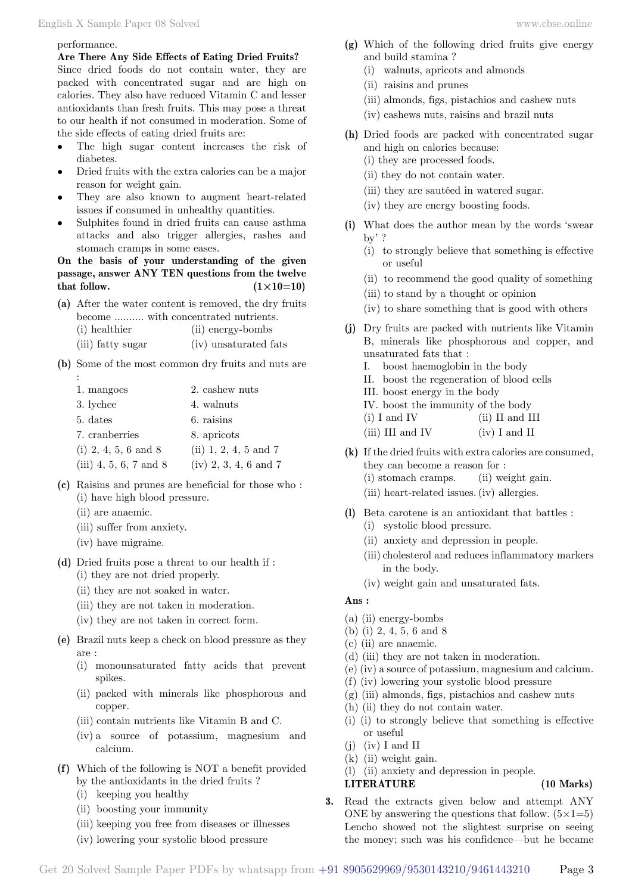#### performance.

**Are There Any Side Effects of Eating Dried Fruits?** Since dried foods do not contain water, they are packed with concentrated sugar and are high on calories. They also have reduced Vitamin C and lesser antioxidants than fresh fruits. This may pose a threat to our health if not consumed in moderation. Some of the side effects of eating dried fruits are:

- • The high sugar content increases the risk of diabetes.
- Dried fruits with the extra calories can be a major reason for weight gain.
- They are also known to augment heart-related issues if consumed in unhealthy quantities.
- Sulphites found in dried fruits can cause asthma attacks and also trigger allergies, rashes and stomach cramps in some eases.

**On the basis of your understanding of the given passage, answer ANY TEN questions from the twelve**  that follow.  $(1 \times 10=10)$ 

**(a)** After the water content is removed, the dry fruits become ........... with concentrated nutrients.

| (i) healthier     | (ii) energy-bombs     |
|-------------------|-----------------------|
| (iii) fatty sugar | (iv) unsaturated fats |

**(b)** Some of the most common dry fruits and nuts are

| 1. mangoes               | 2. cashew nuts                   |
|--------------------------|----------------------------------|
| 3. lychee                | 4. walnuts                       |
| 5. dates                 | 6. raisins                       |
| 7. cranberries           | 8. apricots                      |
| (i) $2, 4, 5, 6$ and $8$ | $(ii) 1, 2, 4, 5 \text{ and } 7$ |
| (iii) 4, 5, 6, 7 and 8   | $(iv) 2, 3, 4, 6$ and 7          |

- **(c)** Raisins and prunes are beneficial for those who : (i) have high blood pressure.
	- (ii) are anaemic.

:

- (iii) suffer from anxiety.
- (iv) have migraine.
- **(d)** Dried fruits pose a threat to our health if :
	- (i) they are not dried properly.
	- (ii) they are not soaked in water.
	- (iii) they are not taken in moderation.
	- (iv) they are not taken in correct form.
- **(e)** Brazil nuts keep a check on blood pressure as they are :
	- (i) monounsaturated fatty acids that prevent spikes.
	- (ii) packed with minerals like phosphorous and copper.
	- (iii) contain nutrients like Vitamin B and C.
	- (iv) a source of potassium, magnesium and calcium.
- **(f)** Which of the following is NOT a benefit provided by the antioxidants in the dried fruits ?
	- (i) keeping you healthy
	- (ii) boosting your immunity
	- (iii) keeping you free from diseases or illnesses
	- (iv) lowering your systolic blood pressure
- **(g)** Which of the following dried fruits give energy and build stamina ?
	- (i) walnuts, apricots and almonds
	- (ii) raisins and prunes
	- (iii) almonds, figs, pistachios and cashew nuts
	- (iv) cashews nuts, raisins and brazil nuts
- **(h)** Dried foods are packed with concentrated sugar and high on calories because:
	- (i) they are processed foods.
	- (ii) they do not contain water.
	- (iii) they are sautéed in watered sugar.
	- (iv) they are energy boosting foods.
- **(i)** What does the author mean by the words 'swear by' ?
	- (i) to strongly believe that something is effective or useful
	- (ii) to recommend the good quality of something
	- (iii) to stand by a thought or opinion
	- (iv) to share something that is good with others
- **(j)** Dry fruits are packed with nutrients like Vitamin B, minerals like phosphorous and copper, and unsaturated fats that :
	- I. boost haemoglobin in the body
	- II. boost the regeneration of blood cells
	- III. boost energy in the body
	- IV. boost the immunity of the body
	- (i) I and IV (ii) II and III
	- $(iii) III$  and IV  $(iv) I$  and II
- **(k)** If the dried fruits with extra calories are consumed, they can become a reason for :
	- (i) stomach cramps. (ii) weight gain.
	- (iii) heart-related issues.(iv) allergies.
- **(l)** Beta carotene is an antioxidant that battles :
	- (i) systolic blood pressure.
	- (ii) anxiety and depression in people.
	- (iii) cholesterol and reduces inflammatory markers in the body.
	- (iv) weight gain and unsaturated fats.

#### **Ans :**

- (a) (ii) energy-bombs
- (b) (i) 2, 4, 5, 6 and 8
- (c) (ii) are anaemic.
- (d) (iii) they are not taken in moderation.
- (e) (iv) a source of potassium, magnesium and calcium.
- (f) (iv) lowering your systolic blood pressure
- (g) (iii) almonds, figs, pistachios and cashew nuts
- (h) (ii) they do not contain water.
- (i) (i) to strongly believe that something is effective or useful
- $(i)$   $(iv)$  I and II
- (k) (ii) weight gain.
- (l) (ii) anxiety and depression in people.

# **LITERATURE (10 Marks)**

**3.** Read the extracts given below and attempt ANY ONE by answering the questions that follow.  $(5 \times 1=5)$ Lencho showed not the slightest surprise on seeing the money; such was his confidence—but he became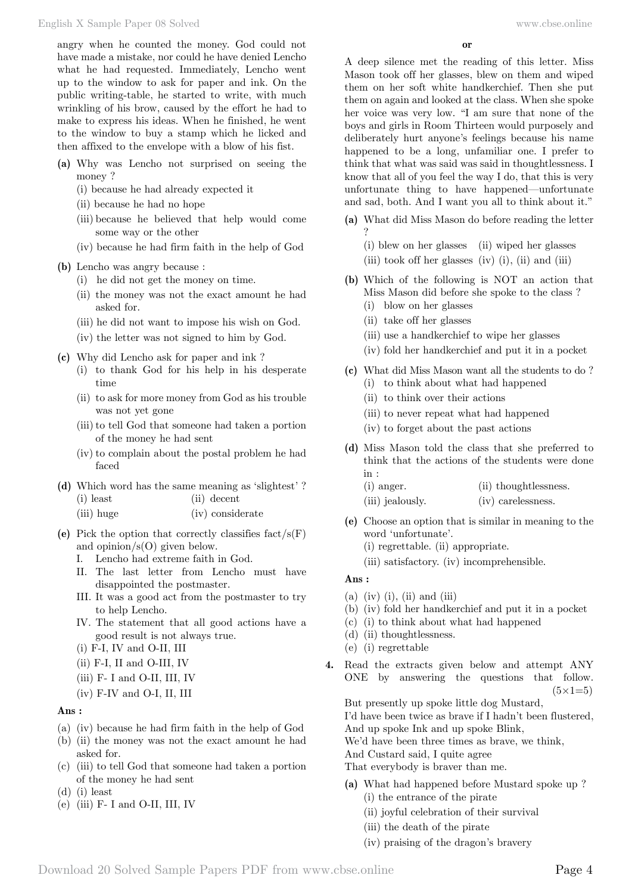angry when he counted the money. God could not have made a mistake, nor could he have denied Lencho what he had requested. Immediately, Lencho went up to the window to ask for paper and ink. On the public writing-table, he started to write, with much wrinkling of his brow, caused by the effort he had to make to express his ideas. When he finished, he went to the window to buy a stamp which he licked and then affixed to the envelope with a blow of his fist.

- **(a)** Why was Lencho not surprised on seeing the money ?
	- (i) because he had already expected it
	- (ii) because he had no hope
	- (iii) because he believed that help would come some way or the other
	- (iv) because he had firm faith in the help of God

## **(b)** Lencho was angry because :

- (i) he did not get the money on time.
- (ii) the money was not the exact amount he had asked for.
- (iii) he did not want to impose his wish on God.
- (iv) the letter was not signed to him by God.
- **(c)** Why did Lencho ask for paper and ink ?
	- (i) to thank God for his help in his desperate time
	- (ii) to ask for more money from God as his trouble was not yet gone
	- (iii) to tell God that someone had taken a portion of the money he had sent
	- (iv) to complain about the postal problem he had faced
- **(d)** Which word has the same meaning as 'slightest' ? (i) least (ii) decent
	- (iii) huge (iv) considerate
- (e) Pick the option that correctly classifies  $fact/s(F)$ and opinion/s(O) given below.
	- I. Lencho had extreme faith in God.
	- II. The last letter from Lencho must have disappointed the postmaster.
	- III. It was a good act from the postmaster to try to help Lencho.
	- IV. The statement that all good actions have a good result is not always true.
	- (i) F-I, IV and O-II, III
	- (ii) F-I, II and O-III, IV
	- (iii) F- I and O-II, III, IV
	- (iv) F-IV and O-I, II, III

#### **Ans :**

- (a) (iv) because he had firm faith in the help of God
- (b) (ii) the money was not the exact amount he had asked for.
- (c) (iii) to tell God that someone had taken a portion of the money he had sent
- (d) (i) least
- (e) (iii) F- I and O-II, III, IV

A deep silence met the reading of this letter. Miss Mason took off her glasses, blew on them and wiped them on her soft white handkerchief. Then she put them on again and looked at the class. When she spoke her voice was very low. "I am sure that none of the boys and girls in Room Thirteen would purposely and deliberately hurt anyone's feelings because his name happened to be a long, unfamiliar one. I prefer to think that what was said was said in thoughtlessness. I know that all of you feel the way I do, that this is very unfortunate thing to have happened—unfortunate and sad, both. And I want you all to think about it."

- **(a)** What did Miss Mason do before reading the letter
	- ? (i) blew on her glasses (ii) wiped her glasses
	- (iii) took off her glasses (iv)  $(i)$ ,  $(ii)$  and  $(iii)$
- **(b)** Which of the following is NOT an action that Miss Mason did before she spoke to the class ?
	- (i) blow on her glasses
	- (ii) take off her glasses
	- (iii) use a handkerchief to wipe her glasses
	- (iv) fold her handkerchief and put it in a pocket
- **(c)** What did Miss Mason want all the students to do ? (i) to think about what had happened
	- (ii) to think over their actions
	- (iii) to never repeat what had happened
	- (iv) to forget about the past actions
- **(d)** Miss Mason told the class that she preferred to think that the actions of the students were done in :
	- (i) anger. (ii) thoughtlessness.
	- (iii) jealously. (iv) carelessness.
- **(e)** Choose an option that is similar in meaning to the word 'unfortunate'.
	- (i) regrettable. (ii) appropriate.
	- (iii) satisfactory. (iv) incomprehensible.

## **Ans :**

- $(a)$  (iv)  $(i)$ ,  $(ii)$  and  $(iii)$
- (b) (iv) fold her handkerchief and put it in a pocket
- (c) (i) to think about what had happened
- (d) (ii) thoughtlessness.
- (e) (i) regrettable
- **4.** Read the extracts given below and attempt ANY ONE by answering the questions that follow.  $(5 \times 1=5)$

But presently up spoke little dog Mustard, I'd have been twice as brave if I hadn't been flustered,

- And up spoke Ink and up spoke Blink,
- We'd have been three times as brave, we think,

And Custard said, I quite agree

That everybody is braver than me.

- **(a)** What had happened before Mustard spoke up ? (i) the entrance of the pirate
	- (ii) joyful celebration of their survival
	- (iii) the death of the pirate
	- (iv) praising of the dragon's bravery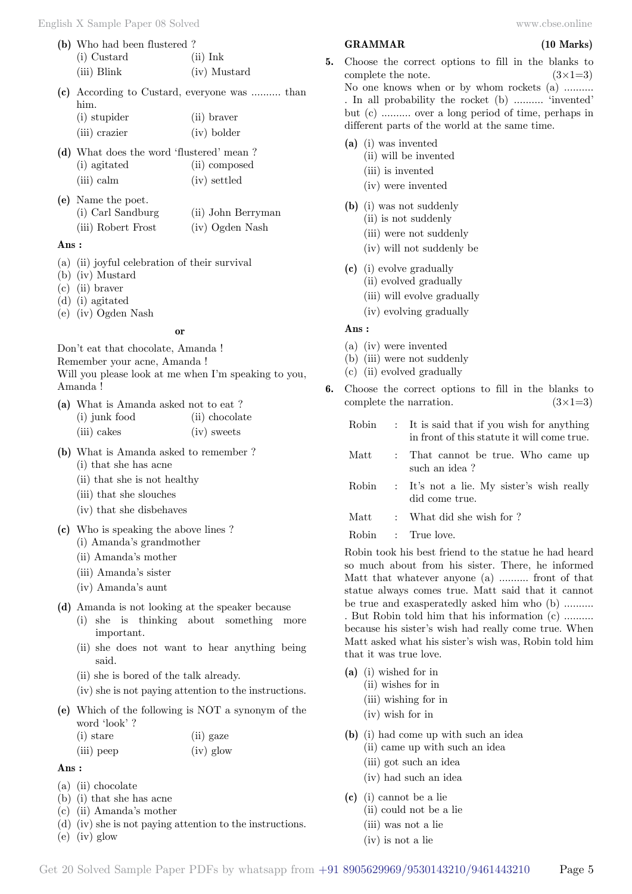| (b) Who had been flustered? |              |  |
|-----------------------------|--------------|--|
| (i) Custard                 | $(ii)$ Ink   |  |
| $(iii)$ Blink               | (iv) Mustard |  |

**(c)** According to Custard, everyone was .......... than him.

| (i) stupider  | (ii) braver |
|---------------|-------------|
| (iii) crazier | (iv) bolder |

**(d)** What does the word 'flustered' mean ? (i) agitated (ii) composed (iii) calm (iv) settled

| (e) Name the poet. |                    |  |
|--------------------|--------------------|--|
| (i) Carl Sandburg  | (ii) John Berryman |  |
| (iii) Robert Frost | (iv) Ogden Nash    |  |

#### **Ans :**

- (a) (ii) joyful celebration of their survival
- (b) (iv) Mustard
- (c) (ii) braver
- (d) (i) agitated
- (e) (iv) Ogden Nash

#### **o**

Don't eat that chocolate, Amanda ! Remember your acne, Amanda ! Will you please look at me when I'm speaking to you, Amanda !

| (a) What is Amanda asked not to eat? |                |
|--------------------------------------|----------------|
| (i) junk food                        | (ii) chocolate |
| (iii) cakes                          | (iv) sweets    |

- **(b)** What is Amanda asked to remember ?
	- (i) that she has acne
	- (ii) that she is not healthy
	- (iii) that she slouches
	- (iv) that she disbehaves
- **(c)** Who is speaking the above lines ?
	- (i) Amanda's grandmother
	- (ii) Amanda's mother
	- (iii) Amanda's sister
	- (iv) Amanda's aunt
- **(d)** Amanda is not looking at the speaker because
	- (i) she is thinking about something more important.
	- (ii) she does not want to hear anything being said.
	- (ii) she is bored of the talk already.
	- (iv) she is not paying attention to the instructions.
- **(e)** Which of the following is NOT a synonym of the word 'look' ?

| $(i)$ stare | (ii) gaze |
|-------------|-----------|
| (iii) peep  | (iv) glow |

 **Ans :**

- (a) (ii) chocolate
- (b) (i) that she has acne
- (c) (ii) Amanda's mother
- (d) (iv) she is not paying attention to the instructions.
- (e) (iv) glow

#### **GRAMMAR (10 Marks)**

- 
- **5.** Choose the correct options to fill in the blanks to complete the note.  $(3\times1=3)$ No one knows when or by whom rockets (a) .......... . In all probability the rocket (b) .......... 'invented' but (c) .......... over a long period of time, perhaps in different parts of the world at the same time.
	- **(a)** (i) was invented
		- (ii) will be invented
		- (iii) is invented
		- (iv) were invented
	- **(b)** (i) was not suddenly (ii) is not suddenly
		- (iii) were not suddenly
		- (iv) will not suddenly be
	- **(c)** (i) evolve gradually
		- (ii) evolved gradually
		- (iii) will evolve gradually
		- (iv) evolving gradually

#### **Ans :**

- (a) (iv) were invented
- (b) (iii) were not suddenly
- (c) (ii) evolved gradually
- **6.** Choose the correct options to fill in the blanks to complete the narration.  $(3\times1=3)$ 
	- Robin : It is said that if you wish for anything in front of this statute it will come true.
	- Matt : That cannot be true. Who came up such an idea ?
	- Robin : It's not a lie. My sister's wish really did come true.
	- Matt : What did she wish for ?
	- Robin : True love.

Robin took his best friend to the statue he had heard so much about from his sister. There, he informed Matt that whatever anyone (a) .......... front of that statue always comes true. Matt said that it cannot be true and exasperatedly asked him who (b) .......... . But Robin told him that his information (c) .......... because his sister's wish had really come true. When Matt asked what his sister's wish was, Robin told him that it was true love.

- **(a)** (i) wished for in
	- (ii) wishes for in
	- (iii) wishing for in
	- (iv) wish for in
- **(b)** (i) had come up with such an idea
	- (ii) came up with such an idea
	- (iii) got such an idea
	- (iv) had such an idea
- **(c)** (i) cannot be a lie
	- (ii) could not be a lie
	- (iii) was not a lie
	- (iv) is not a lie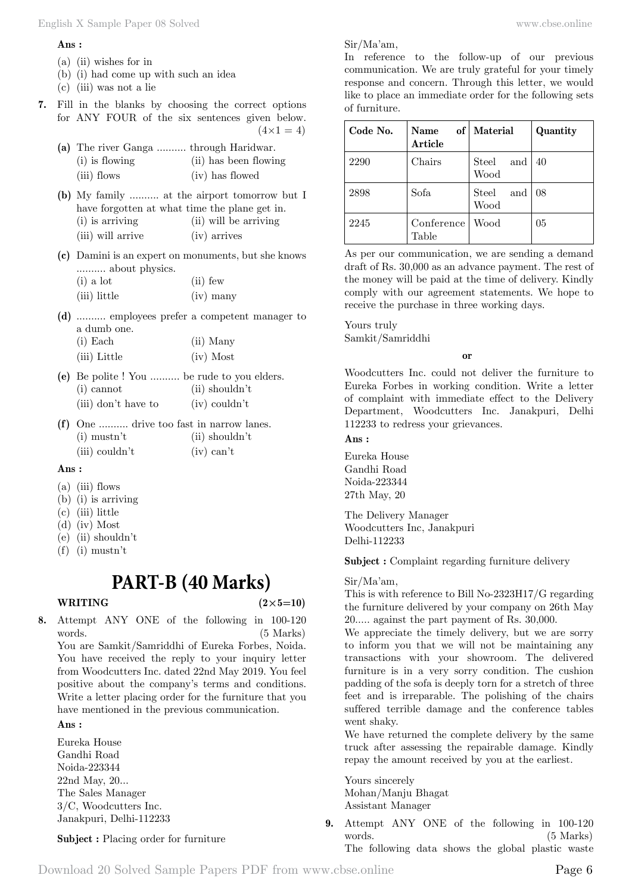#### **Ans :**

- (a) (ii) wishes for in
- (b) (i) had come up with such an idea
- (c) (iii) was not a lie
- **7.** Fill in the blanks by choosing the correct options for ANY FOUR of the six sentences given below.  $(4 \times 1 = 4)$

| (a) The river Ganga  through Haridwar. |                       |
|----------------------------------------|-----------------------|
| $(i)$ is flowing                       | (ii) has been flowing |
| (iii) flows                            | (iv) has flowed       |

- **(b)** My family .......... at the airport tomorrow but I have forgotten at what time the plane get in. (i) is arriving (ii) will be arriving (iii) will arrive (iv) arrives
- **(c)** Damini is an expert on monuments, but she knows .......... about physics.

| $(i)$ a lot  | $(ii)$ few  |  |  |
|--------------|-------------|--|--|
| (iii) little | $(iv)$ many |  |  |

**(d)** .......... employees prefer a competent manager to a dumb one. (i) Each (ii) Many

| $(1)$ $\equiv$ 0.000 | $(11)$ $1120$ |  |  |
|----------------------|---------------|--|--|
| (iii) Little         | $(iv)$ Most   |  |  |

- **(e)** Be polite ! You .......... be rude to you elders. (i) cannot (ii) shouldn't
	- (iii) don't have to (iv) couldn't
- **(f)** One .......... drive too fast in narrow lanes. (i) mustn't (ii) shouldn't (iii) couldn't (iv)  $\text{can}^{\dagger}$

#### **Ans :**

- (a) (iii) flows
- (b) (i) is arriving
- (c) (iii) little
- (d) (iv) Most
- (e) (ii) shouldn't
- (f) (i) mustn't

# **PART-B (40 Marks)**

## **WRITING**  $(2 \times 5=10)$

**8.** Attempt ANY ONE of the following in 100-120 words. (5 Marks) You are Samkit/Samriddhi of Eureka Forbes, Noida.

You have received the reply to your inquiry letter from Woodcutters Inc. dated 22nd May 2019. You feel positive about the company's terms and conditions. Write a letter placing order for the furniture that you have mentioned in the previous communication.

# **Ans :**

Eureka House Gandhi Road Noida-223344 22nd May, 20... The Sales Manager 3/C, Woodcutters Inc. Janakpuri, Delhi-112233

**Subject :** Placing order for furniture

Sir/Ma'am,

In reference to the follow-up of our previous communication. We are truly grateful for your timely response and concern. Through this letter, we would like to place an immediate order for the following sets of furniture.

| Code No. | Name<br>Article     | of   Material        | Quantity |
|----------|---------------------|----------------------|----------|
| 2290     | Chairs              | Steel<br>and<br>Wood | 40       |
| 2898     | Sofa                | Steel<br>and<br>Wood | 08       |
| 2245     | Conference<br>Table | Wood                 | 05       |

As per our communication, we are sending a demand draft of Rs. 30,000 as an advance payment. The rest of the money will be paid at the time of delivery. Kindly comply with our agreement statements. We hope to receive the purchase in three working days.

Yours truly Samkit/Samriddhi

### **o**

Woodcutters Inc. could not deliver the furniture to Eureka Forbes in working condition. Write a letter of complaint with immediate effect to the Delivery Department, Woodcutters Inc. Janakpuri, Delhi 112233 to redress your grievances.

### **Ans :**

Eureka House Gandhi Road Noida-223344 27th May, 20

The Delivery Manager Woodcutters Inc, Janakpuri Delhi-112233

**Subject :** Complaint regarding furniture delivery

## Sir/Ma'am,

This is with reference to Bill No-2323H17/G regarding the furniture delivered by your company on 26th May 20..... against the part payment of Rs. 30,000.

We appreciate the timely delivery, but we are sorry to inform you that we will not be maintaining any transactions with your showroom. The delivered furniture is in a very sorry condition. The cushion padding of the sofa is deeply torn for a stretch of three feet and is irreparable. The polishing of the chairs suffered terrible damage and the conference tables went shaky.

We have returned the complete delivery by the same truck after assessing the repairable damage. Kindly repay the amount received by you at the earliest.

Yours sincerely Mohan/Manju Bhagat Assistant Manager

**9.** Attempt ANY ONE of the following in 100-120 words. (5 Marks) The following data shows the global plastic waste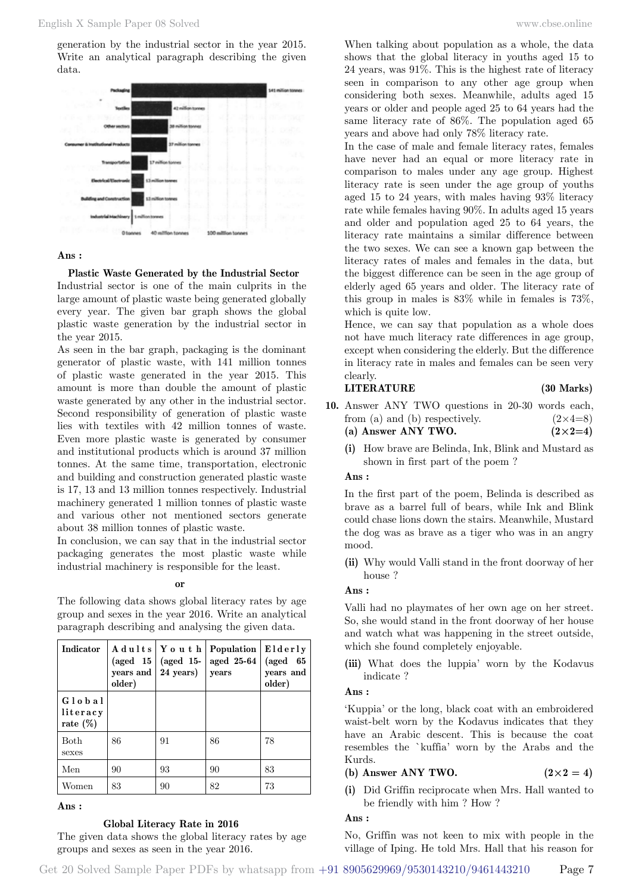generation by the industrial sector in the year 2015. Write an analytical paragraph describing the given data.



#### **Ans :**

 **Plastic Waste Generated by the Industrial Sector** Industrial sector is one of the main culprits in the large amount of plastic waste being generated globally every year. The given bar graph shows the global plastic waste generation by the industrial sector in the year 2015.

As seen in the bar graph, packaging is the dominant generator of plastic waste, with 141 million tonnes of plastic waste generated in the year 2015. This amount is more than double the amount of plastic waste generated by any other in the industrial sector. Second responsibility of generation of plastic waste lies with textiles with 42 million tonnes of waste. Even more plastic waste is generated by consumer and institutional products which is around 37 million tonnes. At the same time, transportation, electronic and building and construction generated plastic waste is 17, 13 and 13 million tonnes respectively. Industrial machinery generated 1 million tonnes of plastic waste and various other not mentioned sectors generate about 38 million tonnes of plastic waste.

In conclusion, we can say that in the industrial sector packaging generates the most plastic waste while industrial machinery is responsible for the least.

#### **o**

The following data shows global literacy rates by age group and sexes in the year 2016. Write an analytical paragraph describing and analysing the given data.

| Indicator                         | $(\text{aged } 15)$<br>years and<br>older) | Adults   Youth<br>$(\text{aged } 15-)$<br>24 years) | Population<br>aged 25-64<br>years | Elderly<br>(aged<br>- 65<br>years and<br>older) |
|-----------------------------------|--------------------------------------------|-----------------------------------------------------|-----------------------------------|-------------------------------------------------|
| Global<br>literacy<br>rate $(\%)$ |                                            |                                                     |                                   |                                                 |
| Both<br>sexes                     | 86                                         | 91                                                  | 86                                | 78                                              |
| Men                               | 90                                         | 93                                                  | 90                                | 83                                              |
| Women                             | 83                                         | 90                                                  | 82                                | 73                                              |

#### **Ans :**

#### **Global Literacy Rate in 2016**

The given data shows the global literacy rates by age groups and sexes as seen in the year 2016.

When talking about population as a whole, the data shows that the global literacy in youths aged 15 to 24 years, was 91%. This is the highest rate of literacy seen in comparison to any other age group when considering both sexes. Meanwhile, adults aged 15 years or older and people aged 25 to 64 years had the same literacy rate of 86%. The population aged 65 years and above had only 78% literacy rate.

In the case of male and female literacy rates, females have never had an equal or more literacy rate in comparison to males under any age group. Highest literacy rate is seen under the age group of youths aged 15 to 24 years, with males having 93% literacy rate while females having 90%. In adults aged 15 years and older and population aged 25 to 64 years, the literacy rate maintains a similar difference between the two sexes. We can see a known gap between the literacy rates of males and females in the data, but the biggest difference can be seen in the age group of elderly aged 65 years and older. The literacy rate of this group in males is 83% while in females is 73%, which is quite low.

Hence, we can say that population as a whole does not have much literacy rate differences in age group, except when considering the elderly. But the difference in literacy rate in males and females can be seen very clearly.

# **LITERATURE (30 Marks)**

- **10.** Answer ANY TWO questions in 20-30 words each, from (a) and (b) respectively.  $(2\times4=8)$ (a) Answer ANY TWO.  $(2 \times 2=4)$ 
	- **(i)** How brave are Belinda, Ink, Blink and Mustard as shown in first part of the poem ?

#### **Ans :**

In the first part of the poem, Belinda is described as brave as a barrel full of bears, while Ink and Blink could chase lions down the stairs. Meanwhile, Mustard the dog was as brave as a tiger who was in an angry mood.

**(ii)** Why would Valli stand in the front doorway of her house ?

#### **Ans :**

Valli had no playmates of her own age on her street. So, she would stand in the front doorway of her house and watch what was happening in the street outside, which she found completely enjoyable.

**(iii)** What does the luppia' worn by the Kodavus indicate ?

### **Ans :**

'Kuppia' or the long, black coat with an embroidered waist-belt worn by the Kodavus indicates that they have an Arabic descent. This is because the coat resembles the `kuffia' worn by the Arabs and the Kurds.

# (b) Answer ANY TWO.  $(2 \times 2 = 4)$

**(i)** Did Griffin reciprocate when Mrs. Hall wanted to be friendly with him ? How ?

#### **Ans :**

No, Griffin was not keen to mix with people in the village of Iping. He told Mrs. Hall that his reason for

Get 20 Solved Sample Paper PDFs by whatsapp from  $+91\,8905629969/9530143210/9461443210$  Page 7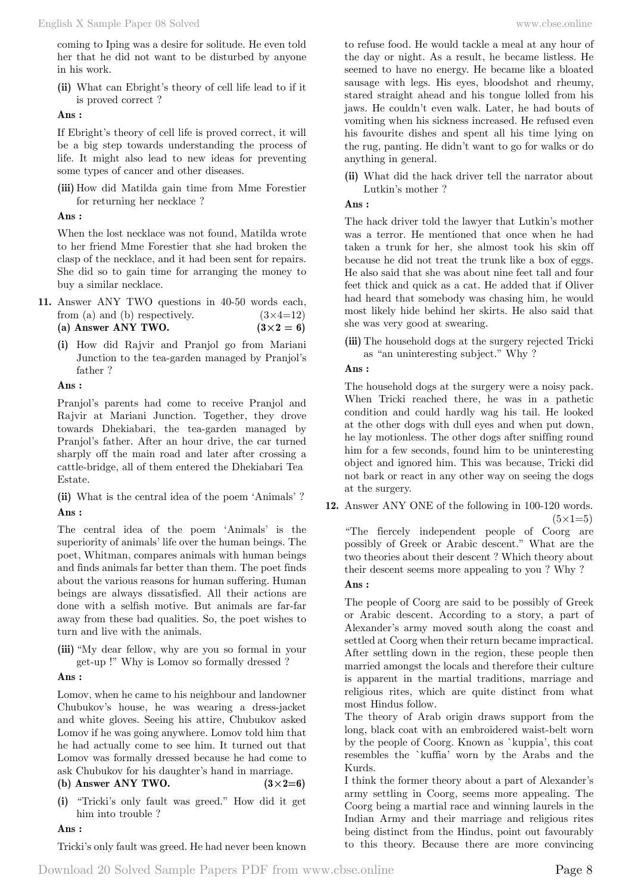coming to Iping was a desire for solitude. He even told her that he did not want to be disturbed by anyone in his work.

**(ii)** What can Ebright's theory of cell life lead to if it is proved correct ?

 **Ans :**

If Ebright's theory of cell life is proved correct, it will be a big step towards understanding the process of life. It might also lead to new ideas for preventing some types of cancer and other diseases.

**(iii)** How did Matilda gain time from Mme Forestier for returning her necklace ?

# **Ans :**

When the lost necklace was not found, Matilda wrote to her friend Mme Forestier that she had broken the clasp of the necklace, and it had been sent for repairs. She did so to gain time for arranging the money to buy a similar necklace.

- **11.** Answer ANY TWO questions in 40-50 words each, from (a) and (b) respectively.  $(3\times4=12)$ (a) Answer ANY TWO.  $(3 \times 2 = 6)$ 
	- **(i)** How did Rajvir and Pranjol go from Mariani Junction to the tea-garden managed by Pranjol's father ?

 **Ans :**

Pranjol's parents had come to receive Pranjol and Rajvir at Mariani Junction. Together, they drove towards Dhekiabari, the tea-garden managed by Pranjol's father. After an hour drive, the car turned sharply off the main road and later after crossing a cattle-bridge, all of them entered the Dhekiabari Tea Estate.

**(ii)** What is the central idea of the poem 'Animals' ?  **Ans :**

The central idea of the poem 'Animals' is the superiority of animals' life over the human beings. The poet, Whitman, compares animals with human beings and finds animals far better than them. The poet finds about the various reasons for human suffering. Human beings are always dissatisfied. All their actions are done with a selfish motive. But animals are far-far away from these bad qualities. So, the poet wishes to turn and live with the animals.

**(iii)** "My dear fellow, why are you so formal in your get-up !" Why is Lomov so formally dressed ?

# **Ans :**

Lomov, when he came to his neighbour and landowner Chubukov's house, he was wearing a dress-jacket and white gloves. Seeing his attire, Chubukov asked Lomov if he was going anywhere. Lomov told him that he had actually come to see him. It turned out that Lomov was formally dressed because he had come to ask Chubukov for his daughter's hand in marriage.

(b) Answer ANY TWO.  $(3 \times 2=6)$ 

- 
- **(i)** "Tricki's only fault was greed." How did it get him into trouble ?

# **Ans :**

Tricki's only fault was greed. He had never been known

to refuse food. He would tackle a meal at any hour of the day or night. As a result, he became listless. He seemed to have no energy. He became like a bloated sausage with legs. His eyes, bloodshot and rheumy, stared straight ahead and his tongue lolled from his jaws. He couldn't even walk. Later, he had bouts of vomiting when his sickness increased. He refused even his favourite dishes and spent all his time lying on the rug, panting. He didn't want to go for walks or do anything in general.

**(ii)** What did the hack driver tell the narrator about Lutkin's mother ?

# **Ans :**

The hack driver told the lawyer that Lutkin's mother was a terror. He mentioned that once when he had taken a trunk for her, she almost took his skin off because he did not treat the trunk like a box of eggs. He also said that she was about nine feet tall and four feet thick and quick as a cat. He added that if Oliver had heard that somebody was chasing him, he would most likely hide behind her skirts. He also said that she was very good at swearing.

**(iii)** The household dogs at the surgery rejected Tricki as "an uninteresting subject." Why ?

# **Ans :**

The household dogs at the surgery were a noisy pack. When Tricki reached there, he was in a pathetic condition and could hardly wag his tail. He looked at the other dogs with dull eyes and when put down, he lay motionless. The other dogs after sniffing round him for a few seconds, found him to be uninteresting object and ignored him. This was because, Tricki did not bark or react in any other way on seeing the dogs at the surgery.

**12.** Answer ANY ONE of the following in 100-120 words.  $(5 \times 1 = 5)$ 

"The fiercely independent people of Coorg are possibly of Greek or Arabic descent." What are the two theories about their descent ? Which theory about their descent seems more appealing to you ? Why ?

# **Ans :**

The people of Coorg are said to be possibly of Greek or Arabic descent. According to a story, a part of Alexander's army moved south along the coast and settled at Coorg when their return became impractical. After settling down in the region, these people then married amongst the locals and therefore their culture is apparent in the martial traditions, marriage and religious rites, which are quite distinct from what most Hindus follow.

The theory of Arab origin draws support from the long, black coat with an embroidered waist-belt worn by the people of Coorg. Known as `kuppia', this coat resembles the `kuffia' worn by the Arabs and the Kurds.

I think the former theory about a part of Alexander's army settling in Coorg, seems more appealing. The Coorg being a martial race and winning laurels in the Indian Army and their marriage and religious rites being distinct from the Hindus, point out favourably to this theory. Because there are more convincing